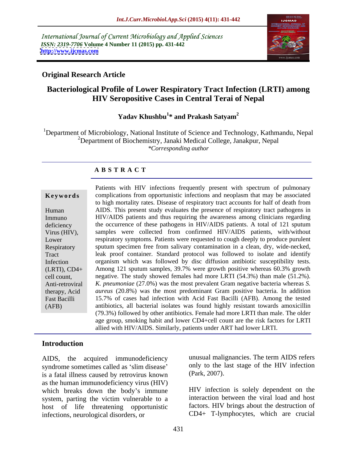International Journal of Current Microbiology and Applied Sciences *ISSN: 2319-7706* **Volume 4 Number 11 (2015) pp. 431-442 <http://www.ijcmas.com>**



### **Original Research Article**

# **Bacteriological Profile of Lower Respiratory Tract Infection (LRTI) among HIV Seropositive Cases in Central Terai of Nepal**

### Yadav Khushbu<sup>1</sup>\* and Prakash Satyam<sup>2</sup> **\* and Prakash Satyam<sup>2</sup>**

<sup>1</sup>Department of Microbiology, National Institute of Science and Technology, Kathmandu, Nepal <sup>2</sup>Department of Biochemistry, Janaki Medical College, Janakpur, Nepal *\*Corresponding author*

### **A B S T R A C T**

|  | Keywords |  |  |  |  |  |
|--|----------|--|--|--|--|--|
|--|----------|--|--|--|--|--|

(AFB)

Patients with HIV infections frequently present with spectrum of pulmonary **Keywords** complications from opportunistic infections and neoplasm that may be associated to high mortality rates. Disease of respiratory tract accounts for half of death from AIDS. This present study evaluates the presence of respiratory tract pathogens in Human HIV/AIDS patients and thus requiring the awareness among clinicians regarding Immuno deficiency the occurrence of these pathogens in HIV/AIDS patients. A total of 121 sputum Virus (HIV), samples were collected from confirmed HIV/AIDS patients, with/without respiratory symptoms. Patients were requested to cough deeply to produce purulent Lower Respiratory sputum specimen free from salivary contamination in a clean, dry, wide-necked, leak proof container. Standard protocol was followed to isolate and identify Tract Infection organism which was followed by disc diffusion antibiotic susceptibility tests. Among 121 sputum samples, 39.7% were growth positive whereas 60.3% growth (LRTI), CD4+ cell count, example are negative. The study showed females had more LRTI (54.3%) than male (51.2%). *K. pneumoniae* (27.0%) was the most prevalent Gram negative bacteria whereas *S.*  Anti-retroviral therapy, Acid aureus (20.8%) was the most predominant Gram positive bacteria. In addition 15.7% of cases had infection with Acid Fast Bacilli (AFB). Among the tested Fast Bacilli antibiotics, all bacterial isolates was found highly resistant towards amoxicillin (79.3%) followed by other antibiotics. Female had more LRTI than male. The older age group, smoking habit and lower CD4+cell count are the risk factors for LRTI allied with HIV/AIDS. Similarly, patients under ART had lower LRTI.

## **Introduction**

AIDS, the acquired immunodeficiency syndrome sometimes called as 'slim disease' only to the l<br>is a fatal illness caused by retrovirus known (Park, 2007). is a fatal illness caused by retrovirus known as the human immunodeficiency virus (HIV) which breaks down the body's immune system, parting the victim vulnerable to a host of life threatening opportunistic infections, neurological disorders, or CD4+ T-lymphocytes, which are crucial

unusual malignancies. The term AIDS refers only to the last stage of the HIV infection (Park, 2007).

HIV infection is solely dependent on the interaction between the viral load and host factors. HIV brings about the destruction of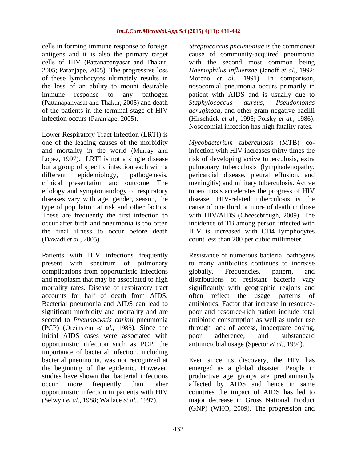cells in forming immune response to foreign *Streptococcus pneumoniae* is the commonest antigens and it is also the primary target cause of community-acquired pneumonia cells of HIV (Pattanapanyasat and Thakur, with the second most common being<br>2005; Paranjape, 2005). The progressive loss *Haemophilus influenzae* (Janoff *et al.*, 1992; of these lymphocytes ultimately results in Moreno *et al.,* 1991). In comparison, the loss of an ability to mount desirable nosocomial pneumonia occurs primarily in immune response to any pathogen patient with AIDS and is usually due to (Pattanapanyasat and Thakur, 2005) and death of the patients in the terminal stage of HIV *aeruginosa*, and other gram negative bacilli

one of the leading causes of the morbidity Mycobacterium tuberculosis (MTB) coand mortality in the world (Murray and Lopez, 1997). LRTI is not a single disease but a group of specific infection each with a pulmonary tuberculosis (lymphadenopathy, different epidemiology, pathogenesis, pericardial disease, pleural effusion, and clinical presentation and outcome. The meningitis) and military tuberculosis. Active etiology and symptomatology of respiratory tuberculosis accelerates the progress of HIV diseases vary with age, gender, season, the type of population at risk and other factors. These are frequently the first infection to with HIV/AIDS (Cheesebrough, 2009). The occur after birth and pneumonia is too often incidence of TB among person infected with the final illness to occur before death HIV is increased with CD4 lymphocytes (Dawadi *et al.,* 2005). count less than 200 per cubic millimeter.

Patients with HIV infections frequently complications from opportunistic infections subsetequencies, extern, and complications from opportunistic infections subsetequencies, pattern, and significant morbidity and mortality and are initial AIDS cases were associated with poor adherence, and substandard opportunistic infection such as PCP, the antimicrobial usage (Spector *et al.*, 1994). importance of bacterial infection, including bacterial pneumonia, was not recognized at Ever since its discovery, the HIV has

infection occurs (Paranjape, 2005). (Hirschtick *et al.*, 1995; Polsky *et al.*, 1986).<br>
Nosocomial infection has high fatality rates.<br>
Lower Respiratory Tract Infection (LRTI) is with the second most common being *Haemophilus influenzae* (Janoff *et al.,* 1992; *Staphylococcus aureus*, *Pseudomonas*  (Hirschtick *et al.,* 1995; Polsky *et al.,* 1986). Nosocomial infection has high fatality rates.

infection with HIV increases thirty times the risk of developing active tuberculosis, extra disease. HIV-related tuberculosis is the cause of one third or more of death in those

present with spectrum of pulmonary to many antibiotics continues to increase and neoplasm that may be associated to high distributions of resistant bacteria vary mortality rates. Disease of respiratory tract significantly with geographic regions and accounts for half of death from AIDS. often reflect the usage patterns of Bacterial pneumonia and AIDS can lead to antibiotics. Factor that increase in resourcesecond to *Pneumocystis carinii* pneumonia antibiotic consumption as well as under use (PCP) (Oreinstein *et al.,* 1985). Since the through lack of access, inadequate dosing, Resistance of numerous bacterial pathogens globally. Frequencies, pattern, and often reflect the usage patterns of poor and resource-rich nation include total poor adherence, and substandard

the beginning of the epidemic. However, emerged as a global disaster. People in studies have shown that bacterial infections productive age groups are predominantly occur more frequently than other affected by AIDS and hence in same opportunistic infection in patients with HIV countries the impact of AIDS has led to (Selwyn *et al.,* 1988; Wallace *et al.,* 1997). major decrease in Gross National Product antimicrobial usage (Spector *et al.*, 1994).<br>Ever since its discovery, the HIV has (GNP) (WHO, 2009). The progression and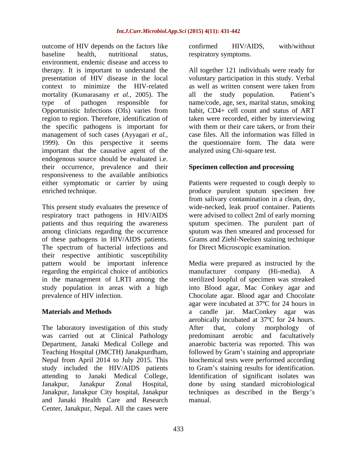outcome of HIV depends on the factors like confirmed HIV/AIDS, with/without baseline health, nutritional status, respiratory symptoms. environment, endemic disease and access to therapy. It is important to understand the All together 121 individuals were ready for presentation of HIV disease in the local context to minimize the HIV-related mortality (Kumarasamy *et al.*, 2005). The all the study population. Patient's type of pathogen responsible for name/code, age, sex, marital status, smoking Opportunistic Infections (OIs) varies from region to region. Therefore, identification of the specific pathogens is important for with them or their care takers, or from their management of such cases (Ayyagari *et al.,* 1999). On this perspective it seems important that the causative agent of the endogenous source should be evaluated i.e. their occurrence, prevalence and their responsiveness to the available antibiotics either symptomatic or carrier by using Patients were requested to cough deeply to enriched technique. produce purulent sputum specimen free

This present study evaluates the presence of wide-necked, leak proof container. Patients respiratory tract pathogens in HIV/AIDS were advised to collect 2ml of early morning patients and thus requiring the awareness sputum specimen. The purulent part of among clinicians regarding the occurrence sputum was then smeared and processed for of these pathogens in HIV/AIDS patients. The spectrum of bacterial infections and their respective antibiotic susceptibility regarding the empirical choice of antibiotics manufacturer company (Hi-media). A

The laboratory investigation of this study After that, colony morphology of was carried out at Clinical Pathology bredominant aerobic and facultatively study included the HIV/AIDS patients and Janaki Health Care and Research Center, Janakpur, Nepal. All the cases were

confirmed HIV/AIDS, with/without

voluntary participation in this study. Verbal as well as written consent were taken from all the study population. habit, CD4+ cell count and status of ART taken were recorded, either by interviewing with them or their care takers, or from their case files. All the information was filled in the questionnaire form. The data were analyzed using Chi-square test.

### **Specimen collection and processing**

from salivary contamination in a clean, dry, Grams and Ziehl-Neelsen staining technique for Direct Microscopic examination.

pattern would be important inference Media were prepared as instructed by the in the management of LRTI among the sterilized loopful of specimen was streaked study population in areas with a high into Blood agar, Mac Conkey agar and prevalence of HIV infection. Chocolate agar. Blood agar and Chocolate **Materials and Methods** a candle jar. MacConkey agar was Department, Janaki Medical College and anaerobic bacteria was reported. This was Teaching Hospital (JMCTH) Janakpurdham, followed by Gram's staining and appropriate Nepal from April 2014 to July 2015. This biochemical tests were performed according attending to Janaki Medical College, Identification of significant isolates was Janakpur, Janakpur Zonal Hospital, done by using standard microbiological Janakpur, Janakpur City hospital, Janakpur techniques as described in the Bergy s manufacturer company (Hi-media). A agar were incubated at 37ºC for 24 hours in aerobically incubated at 37ºC for 24 hours. After that, colony morphology of predominant aerobic and facultatively to Gram's staining results for identification. manual.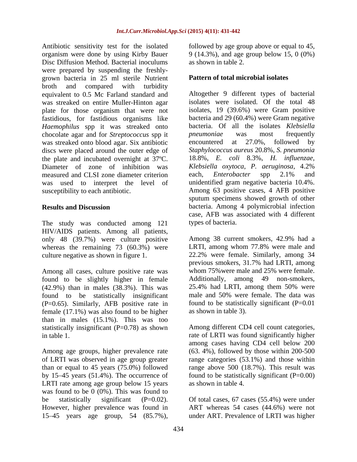Antibiotic sensitivity test for the isolated followed by age group above or equal to 45, organism were done by using Kirby Bauer 9 (14.3%), and age group below 15, 0 (0%) Disc Diffusion Method. Bacterial inoculums were prepared by suspending the freshly grown bacteria in 25 ml sterile Nutrient broth and compared with turbidity equivalent to 0.5 Mc Farland standard and was streaked on entire Muller-Hinton agar plate for those organism that were not fastidious, for fastidious organisms like *Haemophilus* spp it was streaked onto chocolate agar and for *Streptococcus* spp it *pneumoniae* was most frequently was streaked onto blood agar. Six antibiotic encountered at 27.0%, followed by discs were placed around the outer edge of the plate and incubated overnight at 37ºC. Diameter of zone of inhibition was *Klebsiella oxytoca*, *P. aeruginosa*, 4.2% measured and CLSI zone diameter criterion each, *Enterobacter* spp 2.1% and was used to interpret the level of susceptibility to each antibiotic.

The study was conducted among 121 HIV/AIDS patients. Among all patients, only 48 (39.7%) were culture positive whereas the remaining 73 (60.3%) were

Among all cases, culture positive rate was whom 75% were male and 25% were female.<br>
found to be slightly higher in female Additionally, among 49 non-smokers, found to be slightly higher in female Additionally, among 49 non-smokers, (42.9%) than in males (38.3%). This was 25.4% had LRTI, among them 50% were  $(42.9%)$  than in males  $(38.3%)$ . This was  $25.4%$  had LRTI, among them 50% were found to be statistically insignificant male and 50% were female. The data was found to be statistically insignificant (P=0.65). Similarly, AFB positive rate in female (17.1%) was also found to be higher than in males (15.1%). This was too statistically insignificant (P=0.78) as shown Among different CD4 cell count categories, in table 1. rate of LRTI was found significantly higher

Among age groups, higher prevalence rate of LRTI was observed in age group greater range categories (53.1%) and those within than or equal to 45 years (75.0%) followed range above 500 (18.7%). This result was by 15 45 years (51.4%). The occurrence of found to be statistically significant (P=0.00) LRTI rate among age group below 15 years was found to be 0 (0%). This was found to be statistically significant (P=0.02). Of total cases, 67 cases (55.4%) were under However, higher prevalence was found in ART whereas 54 cases (44.6%) were not

as shown in table 2.

### **Pattern of total microbial isolates**

**Results and Discussion** bacteria. Among 4 polymicrobial infection Altogether 9 different types of bacterial isolates were isolated. Of the total 48 isolates, 19 (39.6%) were Gram positive bacteria and 29 (60.4%) were Gram negative bacteria. Of all the isolates *Klebsiella pneumoniae* was most frequently encountered at 27.0%, followed by *Staphylococcus aureus* 20.8%, *S. pneumonia* 18.8%, *E. coli* 8.3%, *H. influenzae*, each, *Enterobacter* spp 2.1% and unidentified gram negative bacteria 10.4%. Among 63 positive cases, 4 AFB positive sputum specimens showed growth of other case, AFB was associated with 4 different types of bacteria.

culture negative as shown in figure 1. 22.2% were female. Similarly, among 34 Among 38 current smokers, 42.9% had a LRTI, among whom 77.8% were male and previous smokers, 31.7% had LRTI, among whom 75% were male and 25% were female. Additionally, among 49 non-smokers, 25.4% had LRTI, among them 50% were male and 50% were female. The data was found to be statistically significant  $(P=0.01)$ as shown in table 3).

> among cases having CD4 cell below 200 (63. 4%), followed by those within 200-500 as shown in table 4.

15 45 years age group, 54 (85.7%), under ART. Prevalence of LRTI was higher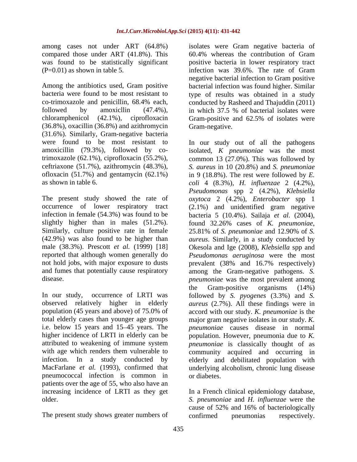compared those under ART (41.8%). This

followed by amoxicllin (47.4%), in which 37.5 % of bacterial isolates were chloramphenicol (42.1%), ciprofloxacin Gram-positive and 62.5% of isolates were (36.8%), oxacillin (36.8%) and azithromycin (31.6%). Similarly, Gram-negative bacteria

slightly higher than in males  $(51.2\%)$ . found  $32.26\%$  cases of K, *pneumoniae*, Similarly, culture positive rate in female 25.81% of S. pneumoniae and 12.90% of S. not hold jobs, with major exposure to dusts prevalent (38% and 16.7% respectively)

i.e. below 15 years and 15–45 years. The pneumococcal infection is common in patients over the age of 55, who also have an increasing incidence of LRTI as they get In a French clinical epidemiology database,

The present study shows greater numbers of confirmed pneumonias respectively.

among cases not under ART (64.8%) isolates were Gram negative bacteria of was found to be statistically significant positive bacteria in lower respiratory tract (P=0.01) as shown in table 5. infection was 39.6%. The rate of Gram Among the antibiotics used, Gram positive bacterial infection was found higher. Similar bacteria were found to be most resistant to type of results was obtained in a study co-trimoxazole and penicillin, 68.4% each, conducted by Rasheed and Thajuddin (2011) 60.4% whereas the contribution of Gram negative bacterial infection to Gram positive in which 37.5 % of bacterial isolates were Gram-positive and 62.5% of isolates were Gram-negative.

were found to be most resistant to In our study out of all the pathogens amoxicillin (79.3%), followed by co-isolated, *K pneumoniae* was the most trimoxazole (62.1%), ciprofloxacin (55.2%), common 13 (27.0%). This was followed by ceftriaxone (51.7%), azithromycin (48.3%), *S. aureus* in 10 (20.8%) and *S. pneumoniae* ofloxacin (51.7%) and gentamycin (62.1%) in 9 (18.8%). The rest were followed by *E.*  as shown in table 6. *coli* 4 (8.3%), *H. influenzae* 2 (4.2%), The present study showed the rate of *oxytoca* 2 (4.2%), *Enterobacter* spp 1 occurrence of lower respiratory tract (2.1%) and unidentified gram negative infection in female (54.3%) was found to be bacteria 5 (10.4%). Sailaja *et al.* (2004), (42.9%) was also found to be higher than *aureus*. Similarly, in a study conducted by male (38.3%). Prescott *et al.* (1999) [18] Okesola and Ige (2008), *Klebsiella* spp and reported that although women generally do *Pseudomonas aeruginosa* were the most and fumes that potentially cause respiratory among the Gram-negative pathogens. *S.*  disease. *pneumoniae* was the most prevalent among In our study, occurrence of LRTI was followed by *S. pyogenes* (3.3%) and *S.*  observed relatively higher in elderly *aureus* (2.7%). All these findings were in population (45 years and above) of 75.0% of accord with our study. *K. pneumoniae* is the total elderly cases than younger age groups major gram negative isolates in our study. *K.*  higher incidence of LRTI in elderly can be population. However, pneumonia due to *K.*  attributed to weakening of immune system *pneumoniae* is classically thought of as with age which renders them vulnerable to community acquired and occurring in infection. In a study conducted by elderly and debilitated population with MacFarlane *et al.* (1993), confirmed that underlying alcoholism, chronic lung disease *Pseudomonas* spp 2 (4.2%), *Klebsiella*  found 32.26% cases of *K. pneumoniae*, 25.81% of *S. pneumoniae* and 12.90% of *S.*  prevalent (38% and 16.7% respectively) the Gram-positive organisms (14%) *pneumoniae* causes disease in normal or diabetes.

older. *S. pneumoniae* and *H. influenzae* were the cause of 52% and 16% of bacteriologically confirmed pneumonias respectively.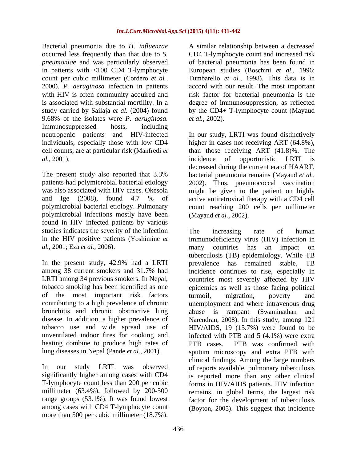Bacterial pneumonia due to *H. influenzae pneumoniae* and was particularly observed 9.68% of the isolates were *P. aeruginosa.*Immunosuppressed hosts, including *al.,* 2001).

polymicrobial infections mostly have been (Mayaud et al., 2002). found in HIV infected patients by various studies indicates the severity of the infection The increasing rate of human *al.,* 2001; Eza *et al.,* 2006).

In the present study, 42.9% had a LRTI prevalence has remained stable, TB of the most important risk factors bronchitis and chronic obstructive lung abuse is rampant (Swaminathan and heating combine to produce high rates of PTB cases. PTB was confirmed with

among cases with CD4 T-lymphocyte count (Boyton, 2005). This suggest that incidence

occurred less frequently than that due to *S.*  CD4 T-lymphocyte count and increased risk in patients with <100 CD4 T-lymphocyte European studies (Boschini *et al.,* 1996; count per cubic millimeter (Cordero *et al.,* Tumbarello *et al.,* 1998). This data is in 2000). *P. aeruginosa* infection in patients accord with our result. The most important with HIV is often community acquired and risk factor for bacterial pneumonia is the is associated with substantial mortility. In a degree of immunosuppression, as reflected study carried by Sailaja *et al.* (2004) found by the CD4+ T-lymphocyte count (Mayaud of bacterial pneumonia has been found in *et al.,* 2002).

neutropenic patients and HIV-infected In ourstudy, LRTI was found distinctively individuals, especially those with low CD4 higher in cases not receiving ART (64.8%), cell counts, are at particular risk (Manfredi *et*  than those receiving ART (41.8)%. The The present study also reported that 3.3% bacterial pneumonia remains (Mayaud *et al.,* patients had polymicrobial bacterial etiology 2002). Thus, pneumococcal vaccination was also associated with HIV cases. Okesola might be given to the patient on highly and Ige (2008), found 4.7 % of active antiretroviral therapy with a CD4 cell polymicrobial bacterial etiology. Pulmonary count reaching 200 cells per millimeter incidence of opportunistic LRTI is decreased during the current era of HAART, (Mayaud *et al.,* 2002).

in the HIV positive patients (Yoshimine *et* immunodeficiency virus (HIV) infection in among 38 current smokers and 31.7% had incidence continues to rise, especially in LRTI among 34 previous smokers. In Nepal, countries most severely affected by HIV tobacco smoking has been identified as one epidemics as well as those facing political contributing to a high prevalence of chronic unemployment and where intravenous drug disease. In addition, a higher prevalence of Narendran, 2008). In this study, among 121 tobacco use and wide spread use of HIV/AIDS, 19 (15.7%) were found to be unventilated indoor fires for cooking and infected with PTB and 5 (4.1%) were extra lung diseases in Nepal (Pande *et al.*, 2001).<br>
In our study LRTI was observed of reports available, pulmonary tuberculosis significantly higher among cases with CD4 is reported more than any other clinical T-lymphocyte count less than 200 per cubic forms in HIV/AIDS patients. HIV infection millimeter (63.4%), followed by 200-500 remains, in global terms, the largest risk range groups (53.1%). It was found lowest factor for the development of tuberculosis Backetal personnel due to  $R = 10$ ,  $R = 10$  per cubic millimeter (18.7%). A similar relationship between a decreased of the millimeter (18.7%). A similar relationship between a similar periodic millimeter (18.7%). A simila The increasing rate of human many countries has an impact on tuberculosis (TB) epidemiology. While TB prevalence has remained stable, turmoil, migration, poverty and abuse is rampant (Swaminathan PTB cases. PTB was confirmed with sputum microscopy and extra PTB with clinical findings. Among the large numbers of reports available, pulmonary tuberculosis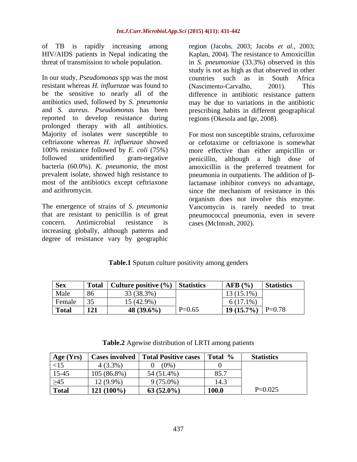of TB is rapidly increasing among

In our study, *Pseudomonas* spp was the most resistant whereas *H. influenzae* was found to be the sensitive to nearly all of the difference in antibiotic resistance pattern antibiotics used, followed by *S. pneumonia* may be due to variations in the antibiotic and *S. aureus. Pseudomonas* has been prescribing habits in different geographical reported to develop resistance during prolonged therapy with all antibiotics. Majority of isolates were susceptible to For most non susceptible strains, cefuroxime ceftriaxone whereas *H. influenzae* showed or cefotaxime or ceftriaxone is somewhat 100% resistance followed by *E. coli* (75%) followed unidentified gram-negative penicillin, although a high dose of bacteria (60.0%). *K. pneumonia*, the most amoxicillin is the preferred treatment for prevalent isolate, showed high resistance to  $\qquad \qquad$  pneumonia in outpatients. The addition of  $\beta$ most of the antibiotics except ceftriaxone lactamase inhibitor conveys no advantage,

increasing globally, although patterns and degree of resistance vary by geographic

HIV/AIDS patients in Nepal indicating the Kaplan, 2004). The resistance to Amoxicillin threat of transmission to whole population. in *S. pneumoniae* (33.3%) observed in this region (Jacobs, 2003; Jacobs *et al.,* 2003; study is not as high as that observed in other countries such as in South Africa (Nascimento-Carvalho, 2001). This regions (Okesola and Ige, 2008).

and azithromycin. since the mechanism of resistance in this The emergence of strains of *S. pneumonia* Vancomycin is rarely needed to treat that are resistant to penicillin is of great pneumococcal pneumonia, even in severe concern. Antimicrobial resistance is more effective than either ampicillin or organism does not involve this enzyme. cases (McIntosh, 2002).

| Table.1 Sputum culture po<br>e positivity | <i>l</i> among genders<br>$\circ$ |  |  |
|-------------------------------------------|-----------------------------------|--|--|
|                                           |                                   |  |  |

| <b>Sex</b>   | <b>CONTRACTOR</b><br>- 1 Ota         | Culture positive (%) Statistics |          | AFB $(% )$             | <b>Statistics</b> |
|--------------|--------------------------------------|---------------------------------|----------|------------------------|-------------------|
| Male         | 86                                   | 33 (38.3%)                      |          | $13(15.1\%)$           |                   |
| Female       | $\sim$ $\sim$<br>$\rightarrow$<br>ັບ | 15 $(42.9\%)$                   |          | $6(17.1\%)$            |                   |
| <b>Total</b> | 131<br>┸▅┱                           | 48 (39.6%)                      | $P=0.65$ | 19(15.7%<br>$\sim$ 1 1 | $P=0.78$          |

| Age (Yrs)                    | Cases involved | Total Positive cases | Total %      | <b>Statistics</b> |
|------------------------------|----------------|----------------------|--------------|-------------------|
| $\geq$ 15<br>$\sim$ 1 $\sim$ | $(3.3\%)$      | (0%                  |              |                   |
| $15-45$                      | 105 (86.8%)    | 54 (51.4%)           | 85.7         |                   |
| $\geq$ 45                    | $12(9.9\%)$    | 9 (75.0%)            | 14.3         |                   |
| <b>Total</b>                 | $121(100\%)$   | 63 $(52.0\%)$        | <b>100.0</b> | $P=0.025$         |

**Table.2** Agewise distribution of LRTI among patients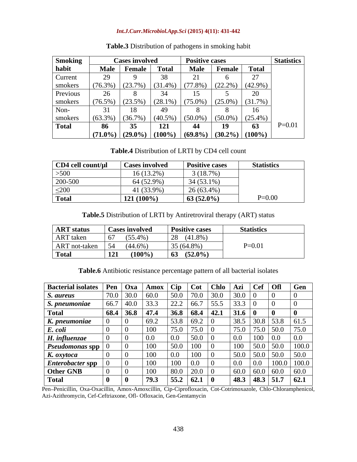### *Int.J.Curr.Microbiol.App.Sci* **(2015) 4(11): 431-442**

| <b>Smoking</b> |             | <b>Cases involved</b> |              | <b>Positive cases</b> |                     |            | <b>Statistics</b> |
|----------------|-------------|-----------------------|--------------|-----------------------|---------------------|------------|-------------------|
| habit          | <b>Male</b> | Female                | <b>Total</b> | <b>Male</b>           | Female              | Total      |                   |
| Current        |             |                       |              |                       |                     |            |                   |
| smokers        | $(76.3\%)$  | $(23.7\%)$            | $(31.4\%)$   | $(77.8\%)$            | $(22.2\%)$          | $(42.9\%)$ |                   |
| Previous       | 26          |                       | 34           |                       |                     |            |                   |
| smokers        | $(76.5\%)$  | (23.5%                | $(28.1\%)$   | $(75.0\%)$            | $(25.0\%)$          | (31.7%)    |                   |
| Non-           |             | 18                    |              |                       |                     |            |                   |
| smokers        | $(63.3\%)$  | (36.7%                | $(40.5\%)$   | $(50.0\%$             | $(50.0\%)$          | $(25.4\%)$ |                   |
| Total          | 86          | 35                    | 121          |                       | -19                 | 63         | $P=0.01$          |
|                | $(71.0\%)$  | $(29.0\%)$            | $(100\%)$    |                       | $(69.8\%) (30.2\%)$ | $(100\%)$  |                   |

### **Table.3** Distribution of pathogens in smoking habit

**Table.4** Distribution of LRTI by CD4 cell count

| $CD4$ cell count/ $\mu$ l | <b>Cases involved</b> | <b>Positive cases</b> | <b>Statistics</b> |
|---------------------------|-----------------------|-----------------------|-------------------|
| $>500$                    | $16(13.2\%)$          | 3(18.7%)              |                   |
| 200-500                   | 64 (52.9%)            | $34(53.1\%)$          |                   |
| $\leq$ 200                | 41 (33.9%)            | $26(63.4\%)$          |                   |
| <b>Total</b>              | $121(100\%)$          | $63(52.0\%)$          | $P=0.00$          |

**Table.5** Distribution of LRTI by Antiretroviral therapy (ART) status

| <b>ART</b> status | <b>Cases involved</b> |           | <b>Positive cases</b> | <b>Statistics</b> |
|-------------------|-----------------------|-----------|-----------------------|-------------------|
| <b>ART</b> taken  | $(55.4\%)$<br>-67     |           | $(41.8\%)$<br>28      |                   |
| ART not-taken     | 154<br>$(44.6\%)$     |           | 35 (64.8%)            | $P=0.01$          |
| <b>Total</b>      | <b>121</b>            | $(100\%)$ | $(52.0\%)$<br>63      |                   |

**Table.6** Antibiotic resistance percentage pattern of all bacterial isolates

| <b>Bacterial isolates Pen</b>          |      | $\log a$ | Amox | $ $ Cip | Cot      | Chlo | Azi                   | <b>Cef</b>  | <b>Ofl</b>    | Gen   |
|----------------------------------------|------|----------|------|---------|----------|------|-----------------------|-------------|---------------|-------|
| S. aureus                              | 70.0 | 30.0     | 60.0 | 50.0    | 70.0     | 30.0 | 30.0                  |             |               |       |
| S. pneumoniae                          | 66.7 | 40.0     | 33.3 | 22.2    | 66.7     | 55.5 | $\cap$ $\cap$<br>33.3 |             |               |       |
| <b>Total</b>                           | 68.4 | 36.8     | 47.4 | 36.8    | 68.4     | 42.1 | <b>31.6</b>           | - 1         |               |       |
| K. pneumoniae                          |      |          | 69.2 | 53.8    | 69.2     |      | 38.5                  | 30.8        | 53.8          | 61.5  |
| E. coli                                |      |          | 100  | 75.0    | 75.0     |      | 75.0                  | 75.0        | 50.0          | 75.0  |
| H. influenzae                          |      |          | 0.0  | $0.0\,$ | 50.0     |      | 0.0                   |             | $0.0\,$       | 0.0   |
| <b>Pseudomonas spp</b> $\vert 0 \vert$ |      |          | 100  | 50.0    | 100      |      | 100                   | 50.0        | 50.0          | 100.0 |
| K. oxytoca                             |      |          | 100  | $0.0\,$ | 100      |      | 50.0                  | 50.0        | 50.0          | 50.0  |
| <b>Enterobacter spp</b>                |      |          | 100  | 100     | $0.0\,$  |      | 0.0                   | 0.0         | 1000<br>TUU.U | 100.0 |
| Other GNB                              |      |          | 100  | 80.0    | $20.0$ ( |      |                       | 60.0   60.0 | 60.0          | 60.0  |
| <b>Total</b>                           |      | -0       | 79.3 | 55.2    | 62.1     |      |                       | 48.3 48.3   | 51.7          | 62.1  |

Pen Penicillin, Oxa-Oxacillin, Amox-Amoxcillin, Cip-Ciprofloxacin, Cot-Cotrimoxazole, Chlo-Chloramphenicol, Azi-Azithromycin, Cef-Ceftriaxone, Ofl- Ofloxacin, Gen-Gentamycin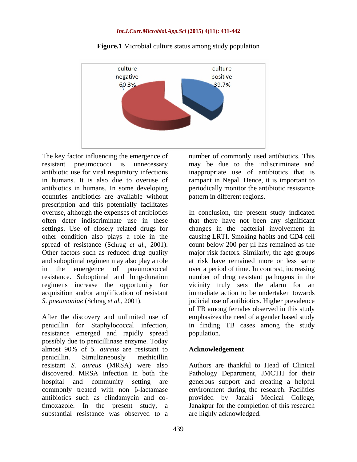

**Figure.1** Microbial culture status among study population

The key factor influencing the emergence of resistant pneumococci is unnecessary may be due to the indiscriminate and antibiotic use for viral respiratory infections inappropriate use of antibiotics that is in humans. It is also due to overuse of rampant in Nepal. Hence, it is important to antibiotics in humans. In some developing periodically monitor the antibiotic resistance countries antibiotics are available without prescription and this potentially facilitates<br>overuse, although the expenses of antibiotics settings. Use of closely related drugs for other condition also plays a role in the and suboptimal regimen may also play a role regimens increase the opportunity for acquisition and/or amplification of resistant

After the discovery and unlimited use of emphasizes the need of a gender based study penicillin for Staphylococcal infection, in finding TB cases among the study resistance emerged and rapidly spread possibly due to penicillinase enzyme. Today almost 90% of *S. aureus* are resistant to penicillin. Simultaneously methicillin resistant *S. aureus* (MRSA) were also Authors are thankful to Head of Clinical discovered. MRSA infection in both the Pathology Department, JMCTH for their hospital and community setting are generous support and creating a helpful commonly treated with non  $\beta$ -lactamase antibiotics such as clindamycin and cotimoxazole. In the present study, a Janakpur for the completion of this research substantial resistance was observed to a

number of commonly used antibiotics. This pattern in different regions.

overuse, although the expenses of antibiotics In conclusion, the present study indicated often deter indiscriminate use in these that there have not been any significant spread of resistance (Schrag *et al.*, 2001). Count below 200 per µl has remained as the Other factors such as reduced drug quality major risk factors. Similarly, the age groups in the emergence of pneumococcal over a period of time. In contrast, increasing resistance. Suboptimal and long-duration number of drug resistant pathogens in the *S. pneumoniae* (Schrag *et al.,* 2001). judicial use of antibiotics. Higher prevalence changes in the bacterial involvement in causing LRTI. Smoking habits and CD4 cell count below 200 per µl has remained as the major risk factors. Similarly, the age groups at risk have remained more or less same vicinity truly sets the alarm for an immediate action to be undertaken towards of TB among females observed in this study population.

### **Acknowledgement**

environment during the research. Facilities provided by Janaki Medical College, are highly acknowledged.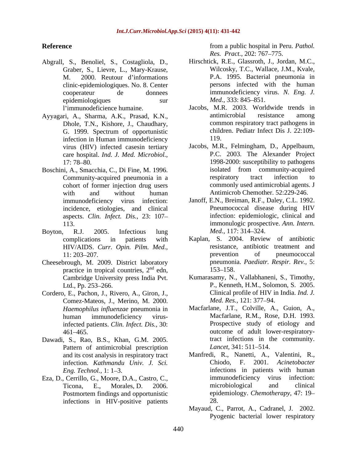- Abgrall, S., Benoliel, S., Costagliola, D., Graber, S., Lievre, L., Mary-Krause, clinic-epidemiologiques. No. 8. Center epidemiologiques sur *Med.*, 333: 845–851.
- Dhole, T.N., Kishore, J., Chaudhary, G. 1999. Spectrum of opportunistic child<br>infection in Human immunodeficiency 119. infection in Human immunodeficiency care hospital. *Ind. J. Med. Microbiol.,*
- cohort of former injection drug users aspects. *Clin. Infect. Dis.,* 23: 107
- Boyton, R.J. 2005. Infectious lung *Med.*, 117: 314–324. HIV/AIDS. *Curr. Opin. Pilm. Med.,*
- Cheesebrough, M. 2009. District laboratory practice in tropical countries,  $2<sup>nd</sup>$  edn, 153–158.
- Cordero, E., Pachon, J., Rivero, A., Giron, J., Comez-Mateos, J., Merino, M. 2000. infected patients. *Clin. Infect. Dis.,* 30:
- Dawadi, S., Rao, B.S., Khan, G.M. 2005. Pattern of antimicrobial prescription *Lancet*, 341: 511–514. infection. *Kathmandu Univ. J. Sci.*
- Eza, D., Cerrillo, G., Moore, D.A., Castro, C., immunodeficiency virus<br>Ticona. E., Morales, D. 2006. microbiological and infections in HIV-positive patients 28.

**Reference Reference** *Reference Reference Reference Reference Reference Reference Reference Reference Reference Reference Reference Reference Reference Reference* from a public hospital in Peru. *Pathol. Res. Pract.,* 202: 767–775.

- M. 2000. Reutour d informations P.A. 1995. Bacterial pneumonia in cooperateur de donnees immunodeficiency virus. *N. Eng. J.* Hirschtick, R.E., Glassroth, J., Jordan, M.C., Wilcosky, T.C., Wallace, J.M., Kvale, persons infected with the human *Med.,* 333: 845–851.
- l'immunodeficience humaine. Jacobs, M.R. 2003. Worldwide trends in Ayyagari, A., Sharma, A.K., Prasad, K.N., antimicrobial resistance among common respiratory tract pathogens in children. Pediatr Infect Dis J. 22:109- 119.
- virus (HIV) infected casesin tertiary Jacobs, M.R., Felmingham, D., Appelbaum, 17: 78 80. 1998-2000: susceptibility to pathogens Boschini, A., Smacchia, C., Di Fine, M. 1996. isolated from community-acquired<br>
Community-acquired pneumonia in a respiratory tract infection to Community-acquired pneumonia in a with and without human Antimicrob Chemother. 52:229-246. P.C. 2003. The Alexander Project isolated from community-acquired respiratory tract infection to commonly used antimicrobial agents. J
	- immunodeficiency virus infection: Janoff, E.N., Breiman, R.F., Daley, C.L. 1992. incidence, etiologies, and clinical Pneumococcal disease during HIV 113. immonulogic prospective. *Ann. Intern.* Pneumococcal disease during HIV infection: epidemiologic, clinical and *Med.,* 117: 314–324.
	- complications in patients with Kaplan, S. 2004. Review of antibiotic 11: 203–207. https://www.brevention.com/entropyrevention.com/entropyrevention.com/entropyrevention.com/entropyrevention.com/entropyrevention.com/entropyrevention.com/entropyrevention.com/entropyrevention.com/entropyreventi  $^{nd}$  edn,  $153-158$ . resistance, antibiotic treatment and prevention of pneumococcal pneumonia. *Paediatr. Respir. Rev.,* 5: 153–158.
	- Cambridge University press India Pvt. Kumarasamy, N., Vallabhaneni, S., Timothy, Ltd., Pp. 253 266. P., Kenneth, H.M., Solomon, S. 2005. Clinical profile of HIV in India. *Ind. J. Med. Res.,* 121: 377–94.
	- *Haemophilus influenzae* pneumonia in Macfarlane, J.T., Colville, A., Guion, A., human immunodeficiency virus-Macfarlane, R.M., Rose, D.H. 1993. 461 465. outcome of adult lower-respiratory-Prospective study of etiology and tract infections in the community. *Lancet,* 341: 511–514.
	- and its cost analysis in respiratory tract Manfredi, R., Nanetti, A., Valentini, R., *Eng. Technol.,* 1: 1–3. The infections in patients with human Ticona, E., Morales, D. 2006. Postmortem findings and opportunistic epidemiology. *Chemotherapy*, 47: 19– Chiodo, F. 2001. *Acinetobacter*  immunodeficiency virus infection: microbiological and clinical epidemiology. *Chemotherapy,* 47: 19 28.
		- Mayaud, C., Parrot, A., Cadranel, J. 2002. Pyogenic bacterial lower respiratory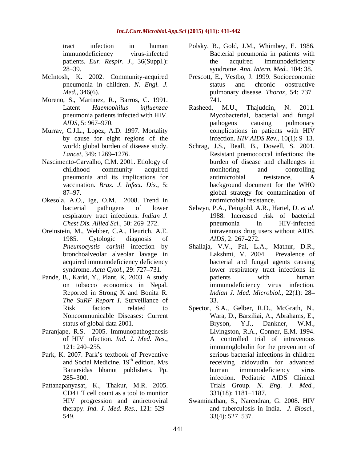- 
- Moreno, S., Martinez, R., Barros, C. 1991.
- 
- Nascimento-Carvalho, C.M. 2001. Etiology of
- Okesola, A.O., Ige, O.M. 2008. Trend in
- Oreinstein, M., Webber, C.A., Heurich, A.E.
- 
- Paranjape, R.S. 2005. Immunopathogenesis
- Park, K. 2007. Park's textbook of Preventive
- Pattanapanyasat, K., Thakur, M.R. 2005.  $CD4+T$  cell count as a tool to monitor  $331(18)$ : 1181–1187. therapy. *Ind. J. Med. Res.*, 121: 529 549. 33(4): 527–537.
- tract infection in human Polsky, B., Gold, J.M., Whimbey, E. 1986. immunodeficiency virus-infected Bacterial pneumonia in patients with patients. *Eur. Respir. J.,* 36(Suppl.): 28 39. syndrome. *Ann. Intern. Med.,* 104: 38. the acquired immunodeficiency
- McIntosh, K. 2002. Community-acquired Prescott, E., Vestbo, J. 1999. Socioeconomic pneumonia in children. *N. Engl. J. Med.,* 346(6). pulmonary disease. *Thorax,* 54: 737 status and chronic obstructive 741.
- Latent *Haemophilus influenzae* pneumonia patients infected with HIV. Mycobacterial, bacterial and fungal *AIDS*, 5: 967–970. *Pathogens* causing pulmonary Murray, C.J.L., Lopez, A.D. 1997. Mortality complications in patients with HIV by cause for eight regions of the infection. *HIV AIDS Rev.*, 10(1): 9–13. Rasheed, M.U., Thajuddin, N. 2011. pathogens causing pulmonary complications in patients with HIV
	- world: global burden of disease study. Schrag, J.S., Beall, B., Dowell, S. 2001. Lancet, 349: 1269–1276. **Resistant** pnemococcal infections: the childhood community acquired pneumonia and its implications for vaccination. *Braz. J. Infect. Dis.,* 5: 87 97. global strategy for contamination of burden of disease and challenges in monitoring and controlling antimicrobial resistance, A background document for the WHO antimicrobial resistance.
	- bacterial pathogens of lower Selwyn, P.A., Feingold, A.R., Hartel, D. *et al.* respiratory tract infections. *Indian J.* 1988. Increased risk of bacterial *Chest Dis. Allied Sci.,* 50: 269–272. **propriamately** pneumonia in HIV-infected 1985. Cytologic diagnosis of *AIDS*, 2: 267–272. pneumonia in HIV-infected intravenous drug users without AIDS. *AIDS,* 2: 267–272.
- *Pneumocystis carinii* infection by Shailaja, V.V., Pai, L.A., Mathur, D.R., bronchoalveolar alveolar lavage in acquired immunodeficiency deficiency bacterial and fungal agents causing syndrome. *Acta Cytol.*, 29: 727–731. lower respiratory tract infections in Pande, B., Karki, Y., Plant, K. 2003. A study batients with human on tobacco economics in Nepal. immunodeficiency virus infection. Reported in Strong <sup>K</sup> and Bonita <sup>R</sup>*. The SuRF Report <sup>I</sup>*. Surveillance of Lakshmi, V. 2004. Prevalence of patients with human *Indian J. Med. Microbiol.,* 22(1): 28 33.
	- Risk factors related to Spector, S.A., Gelber, R.D., McGrath, N., Noncommunicable Diseases: Current Wara, D., Barziliai, A., Abrahams, E., status of global data 2001. Bryson, Y.J., Dankner, W.M., of HIV infection. *Ind. J. Med. Res.,* A controlled trial of intravenous 121: 240 255. immunoglobulin for the prevention of and Social Medicine. 19<sup>th</sup> edition. M/s receiving zidovudin for advanced Banarsidas bhanot publishers, Pp. 285 300. infection. Pediatric AIDS Clinical Bryson, Y.J., Dankner, W.M., Livingston, R.A., Conner, E.M. 1994. serious bacterial infections in children human immunodeficiency virus Trials Group. *N. Eng. J. Med.,*
	- HIV progression and antiretroviral Swaminathan, S., Narendran, G. 2008. HIV 331(18): 1181–1187.<br>Swaminathan, S., Narendran, G. 2008. HIV and tuberculosis in India. *J. Biosci.,* 33(4): 527 537.